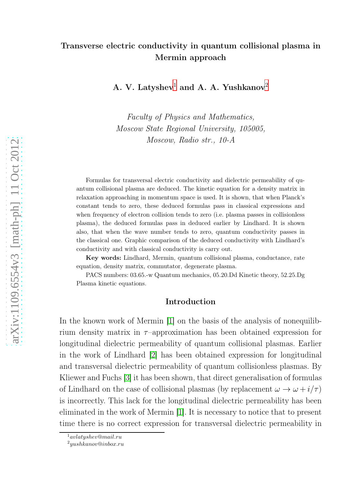# Transverse electric conductivity in quantum collisional plasma in Mermin approach

A. V. Latyshev<sup>[1](#page-0-0)</sup> and A. A. Yushkanov<sup>[2](#page-0-1)</sup>

Faculty of Physics and Mathematics, Moscow State Regional University, 105005, Moscow, Radio str., 10-A

Formulas for transversal electric conductivity and dielectric permeability of quantum collisional plasma are deduced. The kinetic equation for a density matrix in relaxation approaching in momentum space is used. It is shown, that when Planck's constant tends to zero, these deduced formulas pass in classical expressions and when frequency of electron collision tends to zero (i.e. plasma passes in collisionless plasma), the deduced formulas pass in deduced earlier by Lindhard. It is shown also, that when the wave number tends to zero, quantum conductivity passes in the classical one. Graphic comparison of the deduced conductivity with Lindhard's conductivity and with classical conductivity is carry out.

Key words: Lindhard, Mermin, quantum collisional plasma, conductance, rate equation, density matrix, commutator, degenerate plasma.

PACS numbers: 03.65.-w Quantum mechanics, 05.20.Dd Kinetic theory, 52.25.Dg Plasma kinetic equations.

#### Introduction

In the known work of Mermin [\[1\]](#page-17-0) on the basis of the analysis of nonequilibrium density matrix in  $\tau$ -approximation has been obtained expression for longitudinal dielectric permeability of quantum collisional plasmas. Earlier in the work of Lindhard [\[2\]](#page-17-1) has been obtained expression for longitudinal and transversal dielectric permeability of quantum collisionless plasmas. By Kliewer and Fuchs [\[3\]](#page-17-2) it has been shown, that direct generalisation of formulas of Lindhard on the case of collisional plasmas (by replacement  $\omega \to \omega + i/\tau$ ) is incorrectly. This lack for the longitudinal dielectric permeability has been eliminated in the work of Mermin [\[1\]](#page-17-0). It is necessary to notice that to present time there is no correct expression for transversal dielectric permeability in

 $1$ avlatyshev@mail.ru

<span id="page-0-1"></span><span id="page-0-0"></span> $^{2}yushkanov@inbox.ru$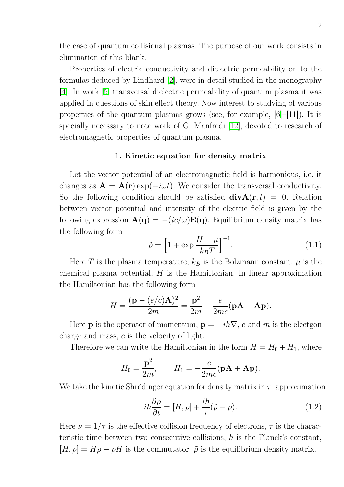the case of quantum collisional plasmas. The purpose of our work consists in elimination of this blank.

Properties of electric conductivity and dielectric permeability on to the formulas deduced by Lindhard [\[2\]](#page-17-1), were in detail studied in the monography [\[4\]](#page-17-3). In work [\[5\]](#page-17-4) transversal dielectric permeability of quantum plasma it was applied in questions of skin effect theory. Now interest to studying of various properties of the quantum plasmas grows (see, for example, [\[6\]](#page-17-5)–[\[11\]](#page-17-6)). It is specially necessary to note work of G. Manfredi [\[12\]](#page-17-7), devoted to research of electromagnetic properties of quantum plasma.

### 1. Kinetic equation for density matrix

Let the vector potential of an electromagnetic field is harmonious, i.e. it changes as  $\mathbf{A} = \mathbf{A}(\mathbf{r}) \exp(-i\omega t)$ . We consider the transversal conductivity. So the following condition should be satisfied  $div A(r, t) = 0$ . Relation between vector potential and intensity of the electric field is given by the following expression  $\mathbf{A(q)} = -(ic/\omega)\mathbf{E(q)}$ . Equilibrium density matrix has the following form

$$
\tilde{\rho} = \left[1 + \exp\frac{H - \mu}{k_B T}\right]^{-1}.\tag{1.1}
$$

Here T is the plasma temperature,  $k_B$  is the Bolzmann constant,  $\mu$  is the chemical plasma potential,  $H$  is the Hamiltonian. In linear approximation the Hamiltonian has the following form

$$
H = \frac{(\mathbf{p} - (e/c)\mathbf{A})^2}{2m} = \frac{\mathbf{p}^2}{2m} - \frac{e}{2mc}(\mathbf{p}\mathbf{A} + \mathbf{A}\mathbf{p}).
$$

Here **p** is the operator of momentum,  $\mathbf{p} = -i\hbar\nabla$ , e and m is the electgon charge and mass, c is the velocity of light.

Therefore we can write the Hamiltonian in the form  $H = H_0 + H_1$ , where

$$
H_0 = \frac{\mathbf{p}^2}{2m}, \qquad H_1 = -\frac{e}{2mc}(\mathbf{p}\mathbf{A} + \mathbf{A}\mathbf{p}).
$$

We take the kinetic Shrödinger equation for density matrix in  $\tau$ –approximation

$$
i\hbar \frac{\partial \rho}{\partial t} = [H, \rho] + \frac{i\hbar}{\tau} (\tilde{\rho} - \rho). \tag{1.2}
$$

Here  $\nu = 1/\tau$  is the effective collision frequency of electrons,  $\tau$  is the characteristic time between two consecutive collisions,  $\hbar$  is the Planck's constant,  $[H, \rho] = H\rho - \rho H$  is the commutator,  $\tilde{\rho}$  is the equilibrium density matrix.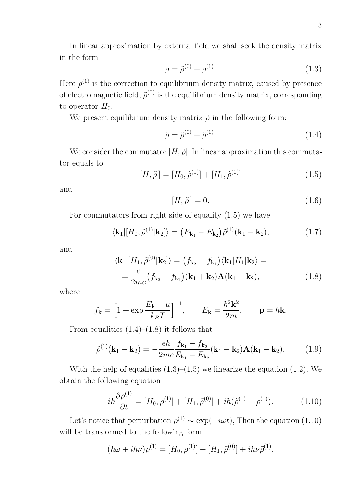In linear approximation by external field we shall seek the density matrix in the form

$$
\rho = \tilde{\rho}^{(0)} + \rho^{(1)}.
$$
\n(1.3)

Here  $\rho^{(1)}$  is the correction to equilibrium density matrix, caused by presence of electromagnetic field,  $\tilde{\rho}^{(0)}$  is the equilibrium density matrix, corresponding to operator  $H_0$ .

We present equilibrium density matrix  $\tilde{\rho}$  in the following form:

$$
\tilde{\rho} = \tilde{\rho}^{(0)} + \tilde{\rho}^{(1)}.\tag{1.4}
$$

We consider the commutator  $[H, \tilde{\rho}]$ . In linear approximation this commutator equals to

$$
[H, \tilde{\rho}] = [H_0, \tilde{\rho}^{(1)}] + [H_1, \tilde{\rho}^{(0)}]
$$
\n(1.5)

and

$$
[H, \tilde{\rho}] = 0. \tag{1.6}
$$

For commutators from right side of equality (1.5) we have

$$
\langle \mathbf{k}_1 | [H_0, \tilde{\rho}^{(1)} | \mathbf{k}_2] \rangle = \left( E_{\mathbf{k}_1} - E_{\mathbf{k}_2} \right) \tilde{\rho}^{(1)} (\mathbf{k}_1 - \mathbf{k}_2), \tag{1.7}
$$

and

$$
\langle \mathbf{k}_1 | [H_1, \tilde{\rho}^{(0)} | \mathbf{k}_2] \rangle = (f_{\mathbf{k}_2} - f_{\mathbf{k}_1}) \langle \mathbf{k}_1 | H_1 | \mathbf{k}_2 \rangle =
$$
  
= 
$$
\frac{e}{2mc} (f_{\mathbf{k}_2} - f_{\mathbf{k}_1}) (\mathbf{k}_1 + \mathbf{k}_2) \mathbf{A} (\mathbf{k}_1 - \mathbf{k}_2),
$$
 (1.8)

where

$$
f_{\mathbf{k}} = \left[1 + \exp\frac{E_{\mathbf{k}} - \mu}{k_B T}\right]^{-1}, \qquad E_{\mathbf{k}} = \frac{\hbar^2 \mathbf{k}^2}{2m}, \qquad \mathbf{p} = \hbar \mathbf{k}.
$$

From equalities  $(1.4)$ – $(1.8)$  it follows that

$$
\tilde{\rho}^{(1)}(\mathbf{k}_1 - \mathbf{k}_2) = -\frac{e\hbar}{2mc} \frac{f_{\mathbf{k}_1} - f_{\mathbf{k}_2}}{E_{\mathbf{k}_1} - E_{\mathbf{k}_2}} (\mathbf{k}_1 + \mathbf{k}_2) \mathbf{A} (\mathbf{k}_1 - \mathbf{k}_2).
$$
 (1.9)

With the help of equalities  $(1.3)$ – $(1.5)$  we linearize the equation  $(1.2)$ . We obtain the following equation

$$
i\hbar \frac{\partial \rho^{(1)}}{\partial t} = [H_0, \rho^{(1)}] + [H_1, \tilde{\rho}^{(0)}] + i\hbar (\tilde{\rho}^{(1)} - \rho^{(1)}). \tag{1.10}
$$

Let's notice that perturbation  $\rho^{(1)} \sim \exp(-i\omega t)$ , Then the equation (1.10) will be transformed to the following form

$$
(\hbar\omega + i\hbar\nu)\rho^{(1)} = [H_0, \rho^{(1)}] + [H_1, \tilde{\rho}^{(0)}] + i\hbar\nu\tilde{\rho}^{(1)}.
$$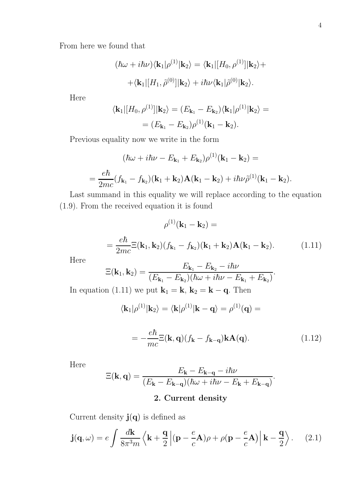From here we found that

$$
(\hbar\omega + i\hbar\nu)\langle \mathbf{k}_1|\rho^{(1)}|\mathbf{k}_2\rangle = \langle \mathbf{k}_1|[H_0, \rho^{(1)}]|\mathbf{k}_2\rangle + + \langle \mathbf{k}_1|[H_1, \tilde{\rho}^{(0)}]|\mathbf{k}_2\rangle + i\hbar\nu\langle \mathbf{k}_1|\tilde{\rho}^{(0)}|\mathbf{k}_2\rangle.
$$

Here

$$
\langle \mathbf{k}_1 | [H_0, \rho^{(1)}] | \mathbf{k}_2 \rangle = (E_{\mathbf{k}_1} - E_{\mathbf{k}_2}) \langle \mathbf{k}_1 | \rho^{(1)} | \mathbf{k}_2 \rangle =
$$

$$
= (E_{\mathbf{k}_1} - E_{\mathbf{k}_2}) \rho^{(1)} (\mathbf{k}_1 - \mathbf{k}_2).
$$

Previous equality now we write in the form

$$
(\hbar\omega + i\hbar\nu - E_{\mathbf{k}_1} + E_{\mathbf{k}_2})\rho^{(1)}(\mathbf{k}_1 - \mathbf{k}_2) =
$$

$$
= \frac{e\hbar}{2mc}(f_{\mathbf{k}_1} - f_{\mathbf{k}_2})(\mathbf{k}_1 + \mathbf{k}_2)\mathbf{A}(\mathbf{k}_1 - \mathbf{k}_2) + i\hbar\nu\tilde{\rho}^{(1)}(\mathbf{k}_1 - \mathbf{k}_2).
$$

Last summand in this equality we will replace according to the equation (1.9). From the received equation it is found

$$
\rho^{(1)}(\mathbf{k}_1 - \mathbf{k}_2) =
$$

$$
= \frac{e\hbar}{2mc} \Xi(\mathbf{k}_1, \mathbf{k}_2) (f_{\mathbf{k}_1} - f_{\mathbf{k}_2})(\mathbf{k}_1 + \mathbf{k}_2) \mathbf{A} (\mathbf{k}_1 - \mathbf{k}_2).
$$
(1.11)

Here

$$
\Xi(\mathbf{k}_1, \mathbf{k}_2) = \frac{E_{\mathbf{k}_1} - E_{\mathbf{k}_2} - i\hbar\nu}{(E_{\mathbf{k}_1} - E_{\mathbf{k}_2})(\hbar\omega + i\hbar\nu - E_{\mathbf{k}_1} + E_{\mathbf{k}_2})}
$$

In equation (1.11) we put  $\mathbf{k}_1 = \mathbf{k}, \mathbf{k}_2 = \mathbf{k} - \mathbf{q}$ . Then

$$
\langle \mathbf{k}_1 | \rho^{(1)} | \mathbf{k}_2 \rangle = \langle \mathbf{k} | \rho^{(1)} | \mathbf{k} - \mathbf{q} \rangle = \rho^{(1)}(\mathbf{q}) =
$$

$$
=-\frac{e\hbar}{mc}\Xi(\mathbf{k},\mathbf{q})(f_{\mathbf{k}}-f_{\mathbf{k}-\mathbf{q}})\mathbf{k}\mathbf{A}(\mathbf{q}).
$$
 (1.12)

.

Here

$$
\Xi(\mathbf{k},\mathbf{q}) = \frac{E_{\mathbf{k}} - E_{\mathbf{k}-\mathbf{q}} - i\hbar\nu}{(E_{\mathbf{k}} - E_{\mathbf{k}-\mathbf{q}})(\hbar\omega + i\hbar\nu - E_{\mathbf{k}} + E_{\mathbf{k}-\mathbf{q}})}.
$$

## 2. Current density

Current density  $\mathbf{j}(\mathbf{q})$  is defined as

$$
\mathbf{j}(\mathbf{q},\omega) = e \int \frac{d\mathbf{k}}{8\pi^3 m} \left\langle \mathbf{k} + \frac{\mathbf{q}}{2} \left| (\mathbf{p} - \frac{e}{c}\mathbf{A})\rho + \rho(\mathbf{p} - \frac{e}{c}\mathbf{A}) \right| \mathbf{k} - \frac{\mathbf{q}}{2} \right\rangle. \tag{2.1}
$$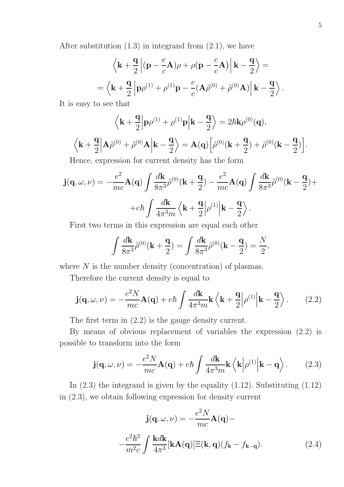After substitution  $(1.3)$  in integrand from  $(2.1)$ , we have

$$
\left\langle \mathbf{k} + \frac{\mathbf{q}}{2} \left| (\mathbf{p} - \frac{e}{c} \mathbf{A}) \rho + \rho (\mathbf{p} - \frac{e}{c} \mathbf{A}) \right| \mathbf{k} - \frac{\mathbf{q}}{2} \right\rangle =
$$
  
=  $\left\langle \mathbf{k} + \frac{\mathbf{q}}{2} \left| \mathbf{p} \rho^{(1)} + \rho^{(1)} \mathbf{p} - \frac{e}{c} (\mathbf{A} \tilde{\rho}^{(0)} + \tilde{\rho}^{(0)} \mathbf{A}) \right| \mathbf{k} - \frac{\mathbf{q}}{2} \right\rangle.$ 

It is easy to see that

$$
\langle \mathbf{k} + \frac{\mathbf{q}}{2} \Big| \mathbf{p}\rho^{(1)} + \rho^{(1)}\mathbf{p} \Big| \mathbf{k} - \frac{\mathbf{q}}{2} \rangle = 2\hbar \mathbf{k}\rho^{(0)}(\mathbf{q}),
$$
  

$$
\langle \mathbf{k} + \frac{\mathbf{q}}{2} \Big| \mathbf{A}\tilde{\rho}^{(0)} + \tilde{\rho}^{(0)}\mathbf{A} \Big| \mathbf{k} - \frac{\mathbf{q}}{2} \rangle = \mathbf{A}(\mathbf{q}) \Big[ \tilde{\rho}^{(0)}(\mathbf{k} + \frac{\mathbf{q}}{2}) + \tilde{\rho}^{(0)}(\mathbf{k} - \frac{\mathbf{q}}{2}) \Big].
$$
  
Hence expression for current density has the form

Hence, expression for current density has the form

$$
\mathbf{j}(\mathbf{q}, \omega, \nu) = -\frac{e^2}{mc} \mathbf{A}(\mathbf{q}) \int \frac{d\mathbf{k}}{8\pi^3} \tilde{\rho}^{(0)}(\mathbf{k} + \frac{\mathbf{q}}{2}) - \frac{e^2}{mc} \mathbf{A}(\mathbf{q}) \int \frac{d\mathbf{k}}{8\pi^3} \tilde{\rho}^{(0)}(\mathbf{k} - \frac{\mathbf{q}}{2}) +
$$

$$
+ e\hbar \int \frac{d\mathbf{k}}{4\pi^3 m} \left\langle \mathbf{k} + \frac{\mathbf{q}}{2} \middle| \rho^{(1)} \middle| \mathbf{k} - \frac{\mathbf{q}}{2} \right\rangle.
$$

First two terms in this expression are equal each other

$$
\int \frac{d\mathbf{k}}{8\pi^3} \tilde{\rho}^{(0)}(\mathbf{k} + \frac{\mathbf{q}}{2}) = \int \frac{d\mathbf{k}}{8\pi^3} \tilde{\rho}^{(0)}(\mathbf{k} - \frac{\mathbf{q}}{2}) = \frac{N}{2},
$$

where  $N$  is the number density (concentration) of plasmas.

Therefore the current density is equal to

$$
\mathbf{j}(\mathbf{q},\omega,\nu) = -\frac{e^2 N}{mc}\mathbf{A}(\mathbf{q}) + e\hbar \int \frac{d\mathbf{k}}{4\pi^3 m} \mathbf{k} \left\langle \mathbf{k} + \frac{\mathbf{q}}{2} \Big| \rho^{(1)} \Big| \mathbf{k} - \frac{\mathbf{q}}{2} \right\rangle.
$$
 (2.2)

The first term in (2.2) is the gauge density current.

By means of obvious replacement of variables the expression (2.2) is possible to transform into the form

$$
\mathbf{j}(\mathbf{q},\omega,\nu) = -\frac{e^2 N}{mc}\mathbf{A}(\mathbf{q}) + e\hbar \int \frac{d\mathbf{k}}{4\pi^3 m}\mathbf{k} \left\langle \mathbf{k} \left| \rho^{(1)} \right| \mathbf{k} - \mathbf{q} \right\rangle. \tag{2.3}
$$

In  $(2.3)$  the integrand is given by the equality  $(1.12)$ . Substituting  $(1.12)$ in (2.3), we obtain following expression for density current

$$
\mathbf{j}(\mathbf{q}, \omega, \nu) = -\frac{e^2 N}{mc} \mathbf{A}(\mathbf{q}) -
$$

$$
-\frac{e^2 \hbar^2}{m^2 c} \int \frac{\mathbf{k} d\mathbf{k}}{4\pi^3} [\mathbf{k} \mathbf{A}(\mathbf{q})] \Xi(\mathbf{k}, \mathbf{q}) (f_{\mathbf{k}} - f_{\mathbf{k} - \mathbf{q}}).
$$
(2.4)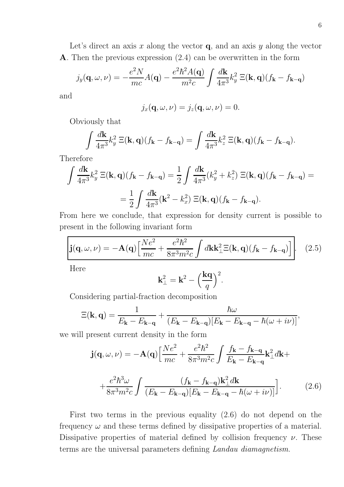Let's direct an axis x along the vector  $\mathbf{q}$ , and an axis y along the vector A. Then the previous expression (2.4) can be overwritten in the form

$$
j_y(\mathbf{q}, \omega, \nu) = -\frac{e^2 N}{mc} A(\mathbf{q}) - \frac{e^2 \hbar^2 A(\mathbf{q})}{m^2 c} \int \frac{d\mathbf{k}}{4\pi^3} k_y^2 \ \Xi(\mathbf{k}, \mathbf{q}) (f_{\mathbf{k}} - f_{\mathbf{k} - \mathbf{q}})
$$

and

$$
j_x(\mathbf{q}, \omega, \nu) = j_z(\mathbf{q}, \omega, \nu) = 0.
$$

Obviously that

$$
\int \frac{d\mathbf{k}}{4\pi^3} k_y^2 \ \Xi(\mathbf{k}, \mathbf{q}) (f_{\mathbf{k}} - f_{\mathbf{k} - \mathbf{q}}) = \int \frac{d\mathbf{k}}{4\pi^3} k_z^2 \ \Xi(\mathbf{k}, \mathbf{q}) (f_{\mathbf{k}} - f_{\mathbf{k} - \mathbf{q}}).
$$

Therefore

$$
\int \frac{d\mathbf{k}}{4\pi^3} k_y^2 \, \Xi(\mathbf{k}, \mathbf{q}) (f_{\mathbf{k}} - f_{\mathbf{k} - \mathbf{q}}) = \frac{1}{2} \int \frac{d\mathbf{k}}{4\pi^3} (k_y^2 + k_z^2) \, \Xi(\mathbf{k}, \mathbf{q}) (f_{\mathbf{k}} - f_{\mathbf{k} - \mathbf{q}}) =
$$

$$
= \frac{1}{2} \int \frac{d\mathbf{k}}{4\pi^3} (\mathbf{k}^2 - k_x^2) \, \Xi(\mathbf{k}, \mathbf{q}) (f_{\mathbf{k}} - f_{\mathbf{k} - \mathbf{q}}).
$$

From here we conclude, that expression for density current is possible to present in the following invariant form

$$
\mathbf{j}(\mathbf{q},\omega,\nu) = -\mathbf{A}(\mathbf{q}) \left[ \frac{Ne^2}{mc} + \frac{e^2 \hbar^2}{8\pi^3 m^2 c} \int d\mathbf{k} \mathbf{k}_{\perp}^2 \Xi(\mathbf{k},\mathbf{q}) (f_{\mathbf{k}} - f_{\mathbf{k}-\mathbf{q}}) \right].
$$
 (2.5)

Here

$$
\mathbf{k}_{\perp}^{2} = \mathbf{k}^{2} - \left(\frac{\mathbf{k}\mathbf{q}}{q}\right)^{2}.
$$

Considering partial-fraction decomposition

$$
\Xi(\mathbf{k},\mathbf{q}) = \frac{1}{E_{\mathbf{k}} - E_{\mathbf{k}-\mathbf{q}}} + \frac{\hbar\omega}{(E_{\mathbf{k}} - E_{\mathbf{k}-\mathbf{q}})[E_{\mathbf{k}} - E_{\mathbf{k}-\mathbf{q}} - \hbar(\omega + i\nu)]},
$$

we will present current density in the form

$$
\mathbf{j}(\mathbf{q},\omega,\nu) = -\mathbf{A}(\mathbf{q}) \left[ \frac{Ne^2}{mc} + \frac{e^2 \hbar^2}{8\pi^3 m^2 c} \int \frac{f_{\mathbf{k}} - f_{\mathbf{k} - \mathbf{q}}}{E_{\mathbf{k}} - E_{\mathbf{k} - \mathbf{q}}} \mathbf{k}_{\perp}^2 d\mathbf{k} + \right]
$$

$$
+\frac{e^2\hbar^3\omega}{8\pi^3m^2c}\int\frac{(f_{\mathbf{k}}-f_{\mathbf{k}-\mathbf{q}})\mathbf{k}_\perp^2d\mathbf{k}}{(E_{\mathbf{k}}-E_{\mathbf{k}-\mathbf{q}})[E_{\mathbf{k}}-E_{\mathbf{k}-\mathbf{q}}-\hbar(\omega+i\nu)]}.
$$
 (2.6)

First two terms in the previous equality (2.6) do not depend on the frequency  $\omega$  and these terms defined by dissipative properties of a material. Dissipative properties of material defined by collision frequency  $\nu$ . These terms are the universal parameters defining Landau diamagnetism.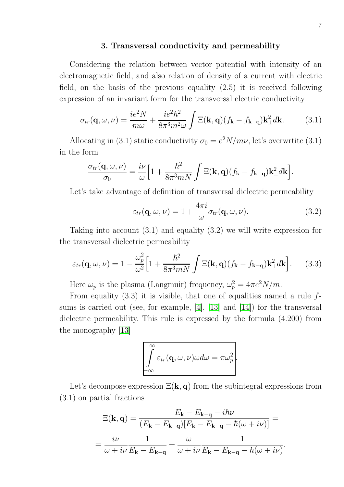#### 3. Transversal conductivity and permeability

Considering the relation between vector potential with intensity of an electromagnetic field, and also relation of density of a current with electric field, on the basis of the previous equality (2.5) it is received following expression of an invariant form for the transversal electric conductivity

$$
\sigma_{tr}(\mathbf{q}, \omega, \nu) = \frac{ie^2 N}{m\omega} + \frac{ie^2 \hbar^2}{8\pi^3 m^2 \omega} \int \Xi(\mathbf{k}, \mathbf{q}) (f_{\mathbf{k}} - f_{\mathbf{k} - \mathbf{q}}) \mathbf{k}_{\perp}^2 d\mathbf{k}.
$$
 (3.1)

Allocating in (3.1) static conductivity  $\sigma_0 = e^2 N/m\nu$ , let's overwrtite (3.1) in the form

$$
\frac{\sigma_{tr}(\mathbf{q}, \omega, \nu)}{\sigma_0} = \frac{i\nu}{\omega} \Big[ 1 + \frac{\hbar^2}{8\pi^3 m N} \int \Xi(\mathbf{k}, \mathbf{q}) (f_{\mathbf{k}} - f_{\mathbf{k} - \mathbf{q}}) \mathbf{k}_{\perp}^2 d\mathbf{k} \Big].
$$

Let's take advantage of definition of transversal dielectric permeability

$$
\varepsilon_{tr}(\mathbf{q}, \omega, \nu) = 1 + \frac{4\pi i}{\omega} \sigma_{tr}(\mathbf{q}, \omega, \nu).
$$
 (3.2)

Taking into account (3.1) and equality (3.2) we will write expression for the transversal dielectric permeability

$$
\varepsilon_{tr}(\mathbf{q}, \omega, \nu) = 1 - \frac{\omega_p^2}{\omega^2} \Big[ 1 + \frac{\hbar^2}{8\pi^3 m N} \int \Xi(\mathbf{k}, \mathbf{q}) (f_{\mathbf{k}} - f_{\mathbf{k} - \mathbf{q}}) \mathbf{k}_{\perp}^2 d\mathbf{k} \Big].
$$
 (3.3)

Here  $\omega_p$  is the plasma (Langmuir) frequency,  $\omega_p^2 = 4\pi e^2 N/m$ .

From equality  $(3.3)$  it is visible, that one of equalities named a rule fsums is carried out (see, for example, [\[4\]](#page-17-3), [\[13\]](#page-17-8) and [\[14\]](#page-17-9)) for the transversal dielectric permeability. This rule is expressed by the formula (4.200) from the monography [\[13\]](#page-17-8)

$$
\int_{-\infty}^{\infty} \varepsilon_{tr}(\mathbf{q}, \omega, \nu) \omega d\omega = \pi \omega_p^2.
$$

Let's decompose expression  $E(\mathbf{k}, \mathbf{q})$  from the subintegral expressions from (3.1) on partial fractions

$$
\Xi(\mathbf{k}, \mathbf{q}) = \frac{E_{\mathbf{k}} - E_{\mathbf{k} - \mathbf{q}} - i\hbar\nu}{(E_{\mathbf{k}} - E_{\mathbf{k} - \mathbf{q}})[E_{\mathbf{k}} - E_{\mathbf{k} - \mathbf{q}} - \hbar(\omega + i\nu)]} =
$$

$$
= \frac{i\nu}{\omega + i\nu}\frac{1}{E_{\mathbf{k}} - E_{\mathbf{k} - \mathbf{q}}} + \frac{\omega}{\omega + i\nu}\frac{1}{E_{\mathbf{k}} - E_{\mathbf{k} - \mathbf{q}} - \hbar(\omega + i\nu)}.
$$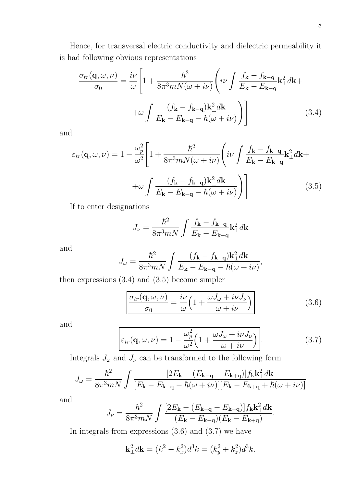Hence, for transversal electric conductivity and dielectric permeability it is had following obvious representations

$$
\frac{\sigma_{tr}(\mathbf{q}, \omega, \nu)}{\sigma_0} = \frac{i\nu}{\omega} \left[ 1 + \frac{\hbar^2}{8\pi^3 m N(\omega + i\nu)} \left( i\nu \int \frac{f_{\mathbf{k}} - f_{\mathbf{k} - \mathbf{q}}}{E_{\mathbf{k}} - E_{\mathbf{k} - \mathbf{q}}} \mathbf{k}_{\perp}^2 d\mathbf{k} + \right. \\ \left. + \omega \int \frac{(f_{\mathbf{k}} - f_{\mathbf{k} - \mathbf{q}}) \mathbf{k}_{\perp}^2 d\mathbf{k}}{E_{\mathbf{k}} - E_{\mathbf{k} - \mathbf{q}} - \hbar(\omega + i\nu)} \right) \right]
$$
(3.4)

and

$$
\varepsilon_{tr}(\mathbf{q}, \omega, \nu) = 1 - \frac{\omega_p^2}{\omega^2} \left[ 1 + \frac{\hbar^2}{8\pi^3 m N(\omega + i\nu)} \left( i\nu \int \frac{f_{\mathbf{k}} - f_{\mathbf{k} - \mathbf{q}}}{E_{\mathbf{k}} - E_{\mathbf{k} - \mathbf{q}}} \mathbf{k}_{\perp}^2 d\mathbf{k} + \right. \right. \left. + \omega \int \frac{(f_{\mathbf{k}} - f_{\mathbf{k} - \mathbf{q}}) \mathbf{k}_{\perp}^2 d\mathbf{k}}{E_{\mathbf{k}} - E_{\mathbf{k} - \mathbf{q}} - \hbar(\omega + i\nu)} \right) \right]
$$
(3.5)

If to enter designations

$$
J_{\nu} = \frac{\hbar^2}{8\pi^3 mN} \int \frac{f_{\mathbf{k}} - f_{\mathbf{k} - \mathbf{q}}}{E_{\mathbf{k}} - E_{\mathbf{k} - \mathbf{q}}} \mathbf{k}_{\perp}^2 d\mathbf{k}
$$

and

$$
J_{\omega} = \frac{\hbar^2}{8\pi^3 m N} \int \frac{(f_{\mathbf{k}} - f_{\mathbf{k} - \mathbf{q}}) \mathbf{k}_{\perp}^2 d\mathbf{k}}{E_{\mathbf{k}} - E_{\mathbf{k} - \mathbf{q}} - \hbar(\omega + i\nu)},
$$

then expressions (3.4) and (3.5) become simpler

$$
\frac{\sigma_{tr}(\mathbf{q}, \omega, \nu)}{\sigma_0} = \frac{i\nu}{\omega} \left( 1 + \frac{\omega J_{\omega} + i\nu J_{\nu}}{\omega + i\nu} \right)
$$
(3.6)

and

$$
\varepsilon_{tr}(\mathbf{q}, \omega, \nu) = 1 - \frac{\omega_p^2}{\omega^2} \left( 1 + \frac{\omega J_\omega + i\nu J_\nu}{\omega + i\nu} \right). \tag{3.7}
$$

Integrals  $J_{\omega}$  and  $J_{\nu}$  can be transformed to the following form

$$
J_{\omega} = \frac{\hbar^2}{8\pi^3 m N} \int \frac{[2E_{\mathbf{k}} - (E_{\mathbf{k-q}} - E_{\mathbf{k+q}})] f_{\mathbf{k}} \mathbf{k}_{\perp}^2 d\mathbf{k}}{[E_{\mathbf{k}} - E_{\mathbf{k-q}} - \hbar(\omega + i\nu)][E_{\mathbf{k}} - E_{\mathbf{k+q}} + \hbar(\omega + i\nu)]}
$$

and

$$
J_{\nu} = \frac{\hbar^2}{8\pi^3 mN} \int \frac{[2E_{\mathbf{k}} - (E_{\mathbf{k-q}} - E_{\mathbf{k+q}})] f_{\mathbf{k}} \mathbf{k}_{\perp}^2 d\mathbf{k}}{(E_{\mathbf{k}} - E_{\mathbf{k-q}})(E_{\mathbf{k}} - E_{\mathbf{k+q}})}.
$$

In integrals from expressions  $(3.6)$  and  $(3.7)$  we have

$$
\mathbf{k}_{\perp}^{2} d\mathbf{k} = (k^{2} - k_{x}^{2}) d^{3} k = (k_{y}^{2} + k_{z}^{2}) d^{3} k.
$$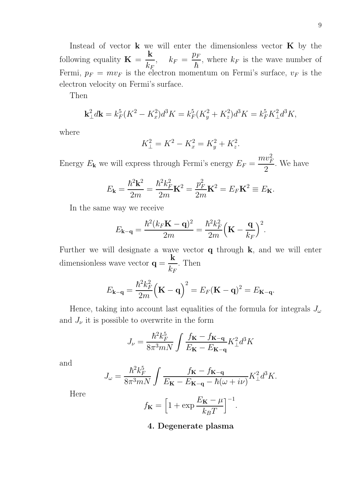Instead of vector  $\bf{k}$  we will enter the dimensionless vector  $\bf{K}$  by the following equality  $\mathbf{K} =$ k  $k_{\c{F}}$  $, \quad k_F =$  $p_F$  $\frac{\partial F}{\partial h}$ , where  $k_F$  is the wave number of Fermi,  $p_F = m v_F$  is the electron momentum on Fermi's surface,  $v_F$  is the electron velocity on Fermi's surface.

Then

$$
\mathbf{k}_{\perp}^{2} d\mathbf{k} = k_{F}^{5} (K^{2} - K_{x}^{2}) d^{3} K = k_{F}^{5} (K_{y}^{2} + K_{z}^{2}) d^{3} K = k_{F}^{5} K_{\perp}^{2} d^{3} K,
$$

where

$$
K_{\perp}^2 = K^2 - K_x^2 = K_y^2 + K_z^2.
$$

Energy  $E_{\mathbf{k}}$  we will express through Fermi's energy  $E_F =$  $mv^2_F$ 2 . We have

$$
E_{\mathbf{k}} = \frac{\hbar^2 \mathbf{k}^2}{2m} = \frac{\hbar^2 k_F^2}{2m} \mathbf{K}^2 = \frac{p_F^2}{2m} \mathbf{K}^2 = E_F \mathbf{K}^2 \equiv E_{\mathbf{K}}.
$$

In the same way we receive

$$
E_{\mathbf{k}-\mathbf{q}} = \frac{\hbar^2 (k_F \mathbf{K} - \mathbf{q})^2}{2m} = \frac{\hbar^2 k_F^2}{2m} \Big( \mathbf{K} - \frac{\mathbf{q}}{k_F} \Big)^2.
$$

Further we will designate a wave vector  $q$  through  $k$ , and we will enter dimensionless wave vector  $\mathbf{q} =$ k  $k_F\,$ . Then

$$
E_{\mathbf{k}-\mathbf{q}} = \frac{\hbar^2 k_F^2}{2m} \Big( \mathbf{K} - \mathbf{q} \Big)^2 = E_F (\mathbf{K} - \mathbf{q})^2 = E_{\mathbf{K} - \mathbf{q}}.
$$

Hence, taking into account last equalities of the formula for integrals  $J_{\omega}$ and  $J_{\nu}$  it is possible to overwrite in the form

$$
J_{\nu} = \frac{\hbar^2 k_F^5}{8\pi^3 m N} \int \frac{f_{\mathbf{K}} - f_{\mathbf{K} - \mathbf{q}}}{E_{\mathbf{K}} - E_{\mathbf{K} - \mathbf{q}}} K_{\perp}^2 d^3 K
$$

and

$$
J_{\omega} = \frac{\hbar^2 k_F^5}{8\pi^3 m N} \int \frac{f_{\mathbf{K}} - f_{\mathbf{K} - \mathbf{q}}}{E_{\mathbf{K}} - E_{\mathbf{K} - \mathbf{q}} - \hbar(\omega + i\nu)} K_{\perp}^2 d^3 K.
$$

Here

$$
f_{\mathbf{K}} = \left[1 + \exp\frac{E_{\mathbf{K}} - \mu}{k_B T}\right]^{-1}.
$$

4. Degenerate plasma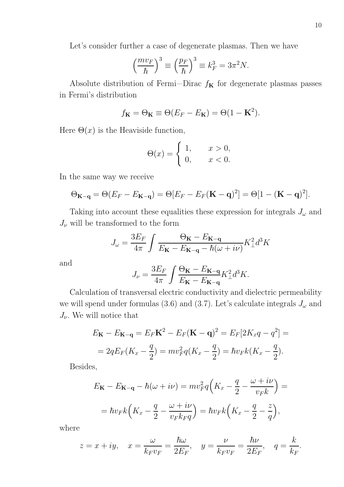Let's consider further a case of degenerate plasmas. Then we have

$$
\left(\frac{mv_F}{\hbar}\right)^3 \equiv \left(\frac{p_F}{\hbar}\right)^3 \equiv k_F^3 = 3\pi^2 N.
$$

Absolute distribution of Fermi—Dirac  $f_{\mathbf{K}}$  for degenerate plasmas passes in Fermi's distribution

$$
f_{\mathbf{K}} = \Theta_{\mathbf{K}} \equiv \Theta(E_F - E_{\mathbf{K}}) = \Theta(1 - \mathbf{K}^2).
$$

Here  $\Theta(x)$  is the Heaviside function,

$$
\Theta(x) = \begin{cases} 1, & x > 0, \\ 0, & x < 0. \end{cases}
$$

In the same way we receive

$$
\Theta_{\mathbf{K}-\mathbf{q}} = \Theta(E_F - E_{\mathbf{K}-\mathbf{q}}) = \Theta[E_F - E_F(\mathbf{K}-\mathbf{q})^2] = \Theta[1 - (\mathbf{K}-\mathbf{q})^2].
$$

Taking into account these equalities these expression for integrals  $J_{\omega}$  and  $J_{\nu}$  will be transformed to the form

$$
J_{\omega} = \frac{3E_F}{4\pi} \int \frac{\Theta_{\mathbf{K}} - E_{\mathbf{K} - \mathbf{q}}}{E_{\mathbf{K}} - E_{\mathbf{K} - \mathbf{q}} - \hbar(\omega + i\nu)} K_{\perp}^2 d^3 K
$$

and

$$
J_{\nu} = \frac{3E_F}{4\pi} \int \frac{\Theta_{\mathbf{K}} - E_{\mathbf{K} - \mathbf{q}}}{E_{\mathbf{K}} - E_{\mathbf{K} - \mathbf{q}}} K_{\perp}^2 d^3 K.
$$

Calculation of transversal electric conductivity and dielectric permeability we will spend under formulas (3.6) and (3.7). Let's calculate integrals  $J_{\omega}$  and  $J_{\nu}$ . We will notice that

$$
E_{\mathbf{K}} - E_{\mathbf{K} - \mathbf{q}} = E_F \mathbf{K}^2 - E_F (\mathbf{K} - \mathbf{q})^2 = E_F [2K_x q - q^2] =
$$
  
=  $2q E_F (K_x - \frac{q}{2}) = m v_F^2 q (K_x - \frac{q}{2}) = \hbar v_F k (K_x - \frac{q}{2}).$ 

Besides,

$$
E_{\mathbf{K}} - E_{\mathbf{K-q}} - \hbar(\omega + i\nu) = m v_F^2 q \left( K_x - \frac{q}{2} - \frac{\omega + i\nu}{v_F k} \right) =
$$

$$
= \hbar v_F k \left( K_x - \frac{q}{2} - \frac{\omega + i\nu}{v_F k_F q} \right) = \hbar v_F k \left( K_x - \frac{q}{2} - \frac{z}{q} \right),
$$

where

$$
z = x + iy
$$
,  $x = \frac{\omega}{k_F v_F} = \frac{\hbar \omega}{2E_F}$ ,  $y = \frac{\nu}{k_F v_F} = \frac{\hbar \nu}{2E_F}$ ,  $q = \frac{k}{k_F}$ .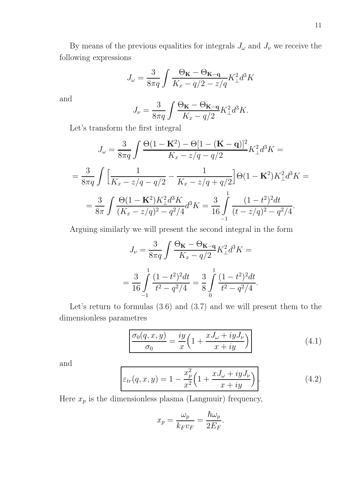By means of the previous equalities for integrals  $J_{\omega}$  and  $J_{\nu}$  we receive the following expressions

$$
J_{\omega} = \frac{3}{8\pi q} \int \frac{\Theta_{\mathbf{K}} - \Theta_{\mathbf{K} - \mathbf{q}}}{K_x - q/2 - z/q} K_{\perp}^2 d^3 K
$$

and

$$
J_{\nu} = \frac{3}{8\pi q} \int \frac{\Theta_{\mathbf{K}} - \Theta_{\mathbf{K} - \mathbf{q}}}{K_x - q/2} K_{\perp}^2 d^3 K.
$$

Let's transform the first integral

$$
J_{\omega} = \frac{3}{8\pi q} \int \frac{\Theta(1 - \mathbf{K}^2) - \Theta[1 - (\mathbf{K} - \mathbf{q})]^2}{K_x - z/q - q/2} K_{\perp}^2 d^3 K =
$$
  
= 
$$
\frac{3}{8\pi q} \int \left[ \frac{1}{K_x - z/q - q/2} - \frac{1}{K_x - z/q + q/2} \right] \Theta(1 - \mathbf{K}^2) K_{\perp}^2 d^3 K =
$$
  
= 
$$
\frac{3}{8\pi} \int \frac{\Theta(1 - \mathbf{K}^2) K_{\perp}^2 d^3 K}{(K_x - z/q)^2 - q^2/4} d^3 K = \frac{3}{16} \int_{-1}^{1} \frac{(1 - t^2)^2 dt}{(t - z/q)^2 - q^2/4}.
$$

Arguing similarly we will present the second integral in the form

$$
J_{\nu} = \frac{3}{8\pi q} \int \frac{\Theta_{\mathbf{K}} - \Theta_{\mathbf{K} - \mathbf{q}}}{K_x - q/2} K_{\perp}^2 d^3 K =
$$
  
= 
$$
\frac{3}{16} \int_{-1}^{1} \frac{(1 - t^2)^2 dt}{t^2 - q^2/4} = \frac{3}{8} \int_{0}^{1} \frac{(1 - t^2)^2 dt}{t^2 - q^2/4}.
$$

Let's return to formulas  $(3.6)$  and  $(3.7)$  and we will present them to the dimensionless parametres

$$
\frac{\sigma_0(q, x, y)}{\sigma_0} = \frac{iy}{x} \left( 1 + \frac{xJ_\omega + iyJ_\nu}{x + iy} \right)
$$
(4.1)

and

$$
\varepsilon_{tr}(q, x, y) = 1 - \frac{x_p^2}{x^2} \left( 1 + \frac{xJ_\omega + iyJ_\nu}{x + iy} \right).
$$
\n(4.2)

Here  $x_p$  is the dimensionless plasma (Langmuir) frequency,

$$
x_p = \frac{\omega_p}{k_F v_F} = \frac{\hbar \omega_p}{2E_F}.
$$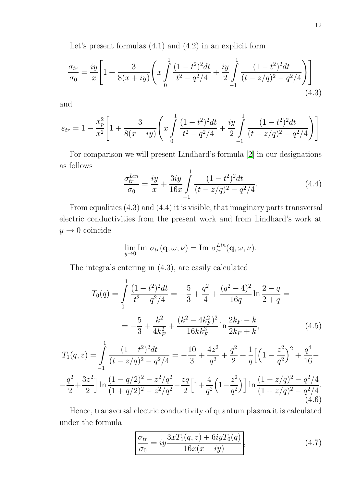Let's present formulas (4.1) and (4.2) in an explicit form

$$
\frac{\sigma_{tr}}{\sigma_0} = \frac{iy}{x} \left[ 1 + \frac{3}{8(x+iy)} \left( x \int_0^1 \frac{(1-t^2)^2 dt}{t^2 - q^2/4} + \frac{iy}{2} \int_{-1}^1 \frac{(1-t^2)^2 dt}{(t - z/q)^2 - q^2/4} \right) \right]
$$
(4.3)

and

$$
\varepsilon_{tr} = 1 - \frac{x_p^2}{x^2} \left[ 1 + \frac{3}{8(x+iy)} \left( x \int_0^1 \frac{(1-t^2)^2 dt}{t^2 - q^2/4} + \frac{iy}{2} \int_{-1}^1 \frac{(1-t^2)^2 dt}{(t - z/q)^2 - q^2/4} \right) \right]
$$

For comparison we will present Lindhard's formula [\[2\]](#page-17-1) in our designations as follows 1

$$
\frac{\sigma_{tr}^{Lin}}{\sigma_0} = \frac{iy}{x} + \frac{3iy}{16x} \int_{-1}^{1} \frac{(1-t^2)^2 dt}{(t-z/q)^2 - q^2/4}.
$$
\n(4.4)

From equalities (4.3) and (4.4) it is visible, that imaginary parts transversal electric conductivities from the present work and from Lindhard's work at  $y \rightarrow 0$  coincide

$$
\lim_{y\to 0} \text{Im }\sigma_{tr}(\mathbf{q},\omega,\nu) = \text{Im }\sigma_{tr}^{Lin}(\mathbf{q},\omega,\nu).
$$

The integrals entering in (4.3), are easily calculated

$$
T_0(q) = \int_0^1 \frac{(1 - t^2)^2 dt}{t^2 - q^2/4} = -\frac{5}{3} + \frac{q^2}{4} + \frac{(q^2 - 4)^2}{16q} \ln \frac{2 - q}{2 + q} =
$$
  
=  $-\frac{5}{3} + \frac{k^2}{4k_F^2} + \frac{(k^2 - 4k_F^2)^2}{16kk_F^3} \ln \frac{2k_F - k}{2k_F + k}$ , (4.5)

$$
T_1(q, z) = \int_{-1}^{1} \frac{(1 - t^2)^2 dt}{(t - z/q)^2 - q^2/4} = -\frac{10}{3} + \frac{4z^2}{q^2} + \frac{q^2}{2} + \frac{1}{q} \Big[ \Big( 1 - \frac{z^2}{q^2} \Big)^2 + \frac{q^4}{16} - \frac{q^2}{2} + \frac{3z^2}{2} \Big] \ln \frac{(1 - q/2)^2 - z^2/q^2}{(1 + q/2)^2 - z^2/q^2} - \frac{zq}{2} \Big[ 1 + \frac{4}{q^2} \Big( 1 - \frac{z^2}{q^2} \Big) \Big] \ln \frac{(1 - z/q)^2 - q^2/4}{(1 + z/q)^2 - q^2/4}.
$$
\n(4.6)

Hence, transversal electric conductivity of quantum plasma it is calculated under the formula

$$
\frac{\sigma_{tr}}{\sigma_0} = iy \frac{3xT_1(q, z) + 6iyT_0(q)}{16x(x+iy)},
$$
\n(4.7)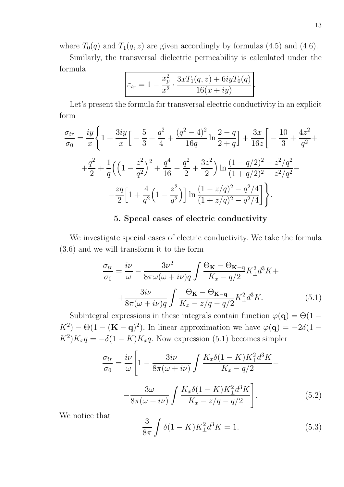where  $T_0(q)$  and  $T_1(q, z)$  are given accordingly by formulas (4.5) and (4.6).

Similarly, the transversal dielectric permeability is calculated under the formula

$$
\varepsilon_{tr} = 1 - \frac{x_p^2}{x^2} \cdot \frac{3xT_1(q, z) + 6iyT_0(q)}{16(x + iy)}
$$

.

Let's present the formula for transversal electric conductivity in an explicit form

$$
\frac{\sigma_{tr}}{\sigma_0} = \frac{iy}{x} \left\{ 1 + \frac{3iy}{x} \Big[ -\frac{5}{3} + \frac{q^2}{4} + \frac{(q^2 - 4)^2}{16q} \ln \frac{2 - q}{2 + q} \Big] + \frac{3x}{16z} \Big[ -\frac{10}{3} + \frac{4z^2}{q^2} + \frac{q^2}{2} + \frac{1}{q} \Big( \Big( 1 - \frac{z^2}{q^2} \Big)^2 + \frac{q^4}{16} - \frac{q^2}{2} + \frac{3z^2}{2} \Big) \ln \frac{(1 - q/2)^2 - z^2/q^2}{(1 + q/2)^2 - z^2/q^2} - \frac{zq}{2} \Big[ 1 + \frac{4}{q^2} \Big( 1 - \frac{z^2}{q^2} \Big) \Big] \ln \frac{(1 - z/q)^2 - q^2/4}{(1 + z/q)^2 - q^2/4} \Big] \right\}.
$$

## 5. Specal cases of electric conductivity

We investigate special cases of electric conductivity. We take the formula (3.6) and we will transform it to the form

$$
\frac{\sigma_{tr}}{\sigma_0} = \frac{i\nu}{\omega} - \frac{3\nu^2}{8\pi\omega(\omega + i\nu)q} \int \frac{\Theta_{\mathbf{K}} - \Theta_{\mathbf{K-q}}}{K_x - q/2} K_{\perp}^2 d^3 K +
$$

$$
+ \frac{3i\nu}{8\pi(\omega + i\nu)q} \int \frac{\Theta_{\mathbf{K}} - \Theta_{\mathbf{K-q}}}{K_x - z/q - q/2} K_{\perp}^2 d^3 K. \tag{5.1}
$$

Subintegral expressions in these integrals contain function  $\varphi(\mathbf{q}) = \Theta(1 - \mathbf{q})$  $K^2$ ) –  $\Theta(1 - (\mathbf{K} - \mathbf{q})^2)$ . In linear approximation we have  $\varphi(\mathbf{q}) = -2\delta(1 - \mathbf{q})^2$  $K^2$ ) $K_xq = -\delta(1 - K)K_xq$ . Now expression (5.1) becomes simpler

$$
\frac{\sigma_{tr}}{\sigma_0} = \frac{i\nu}{\omega} \left[ 1 - \frac{3i\nu}{8\pi(\omega + i\nu)} \int \frac{K_x \delta(1 - K) K_{\perp}^2 d^3 K}{K_x - q/2} - \frac{3\omega}{8\pi(\omega + i\nu)} \int \frac{K_x \delta(1 - K) K_{\perp}^2 d^3 K}{K_x - z/q - q/2} \right].
$$
\n(5.2)

We notice that

$$
\frac{3}{8\pi} \int \delta(1 - K) K_{\perp}^2 d^3 K = 1.
$$
 (5.3)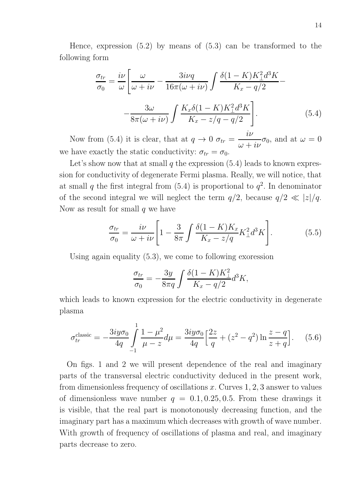Hence, expression  $(5.2)$  by means of  $(5.3)$  can be transformed to the following form

$$
\frac{\sigma_{tr}}{\sigma_0} = \frac{i\nu}{\omega} \left[ \frac{\omega}{\omega + i\nu} - \frac{3i\nu q}{16\pi(\omega + i\nu)} \int \frac{\delta(1 - K)K_{\perp}^2 d^3 K}{K_x - q/2} - \frac{3\omega}{8\pi(\omega + i\nu)} \int \frac{K_x \delta(1 - K)K_{\perp}^2 d^3 K}{K_x - z/q - q/2} \right].
$$
\n(5.4)

Now from (5.4) it is clear, that at  $q \to 0$   $\sigma_{tr} =$ iν  $\omega + i\nu$  $\sigma_0$ , and at  $\omega = 0$ we have exactly the static conductivity:  $\sigma_{tr} = \sigma_0$ .

Let's show now that at small q the expression  $(5.4)$  leads to known expression for conductivity of degenerate Fermi plasma. Really, we will notice, that at small q the first integral from  $(5.4)$  is proportional to  $q^2$ . In denominator of the second integral we will neglect the term  $q/2$ , because  $q/2 \ll |z|/q$ . Now as result for small  $q$  we have

$$
\frac{\sigma_{tr}}{\sigma_0} = \frac{i\nu}{\omega + i\nu} \left[ 1 - \frac{3}{8\pi} \int \frac{\delta(1 - K)K_x}{K_x - z/q} K_{\perp}^2 d^3 K \right]. \tag{5.5}
$$

Using again equality (5.3), we come to following exoression

$$
\frac{\sigma_{tr}}{\sigma_0} = -\frac{3y}{8\pi q} \int \frac{\delta(1-K)K_{\perp}^2}{K_x - q/2} d^3K,
$$

which leads to known expression for the electric conductivity in degenerate plasma

$$
\sigma_{tr}^{\text{classic}} = -\frac{3iy\sigma_0}{4q} \int_{-1}^{1} \frac{1-\mu^2}{\mu - z} d\mu = \frac{3iy\sigma_0}{4q} \Big[ \frac{2z}{q} + (z^2 - q^2) \ln \frac{z-q}{z+q} \Big]. \tag{5.6}
$$

On figs. 1 and 2 we will present dependence of the real and imaginary parts of the transversal electric conductivity deduced in the present work, from dimensionless frequency of oscillations x. Curves  $1, 2, 3$  answer to values of dimensionless wave number  $q = 0.1, 0.25, 0.5$ . From these drawings it is visible, that the real part is monotonously decreasing function, and the imaginary part has a maximum which decreases with growth of wave number. With growth of frequency of oscillations of plasma and real, and imaginary parts decrease to zero.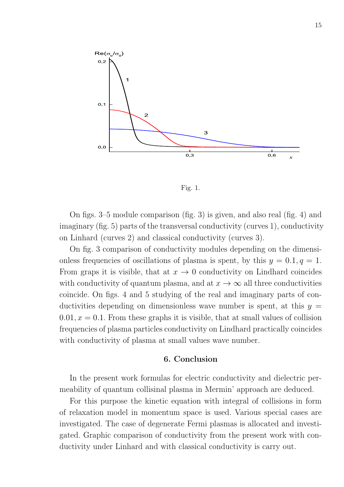

Fig. 1.

On figs. 3–5 module comparison (fig. 3) is given, and also real (fig. 4) and imaginary (fig. 5) parts of the transversal conductivity (curves 1), conductivity on Linhard (curves 2) and classical conductivity (curves 3).

On fig. 3 comparison of conductivity modules depending on the dimensionless frequencies of oscillations of plasma is spent, by this  $y = 0.1, q = 1$ . From graps it is visible, that at  $x \to 0$  conductivity on Lindhard coincides with conductivity of quantum plasma, and at  $x \to \infty$  all three conductivities coincide. On figs. 4 and 5 studying of the real and imaginary parts of conductivities depending on dimensionless wave number is spent, at this  $y =$  $0.01, x = 0.1$ . From these graphs it is visible, that at small values of collision frequencies of plasma particles conductivity on Lindhard practically coincides with conductivity of plasma at small values wave number.

### 6. Conclusion

In the present work formulas for electric conductivity and dielectric permeability of quantum collisinal plasma in Mermin' approach are deduced.

For this purpose the kinetic equation with integral of collisions in form of relaxation model in momentum space is used. Various special cases are investigated. The case of degenerate Fermi plasmas is allocated and investigated. Graphic comparison of conductivity from the present work with conductivity under Linhard and with classical conductivity is carry out.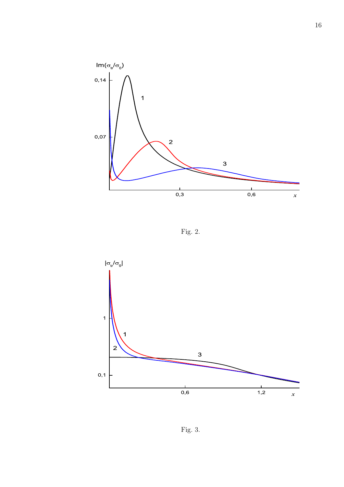

Fig. 2.



Fig. 3.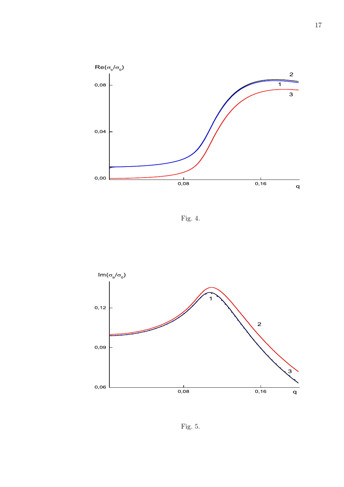

Fig. 4.



Fig. 5.